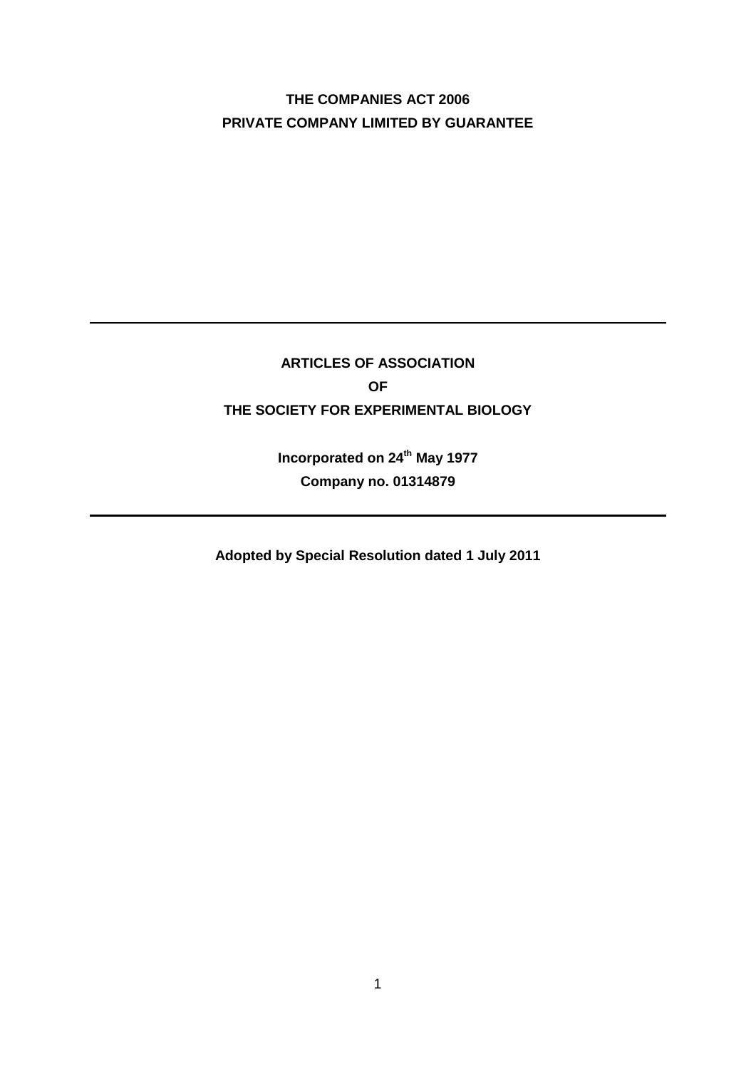# **THE COMPANIES ACT 2006 PRIVATE COMPANY LIMITED BY GUARANTEE**

# **ARTICLES OF ASSOCIATION OF THE SOCIETY FOR EXPERIMENTAL BIOLOGY**

**Incorporated on 24th May 1977 Company no. 01314879**

**Adopted by Special Resolution dated 1 July 2011**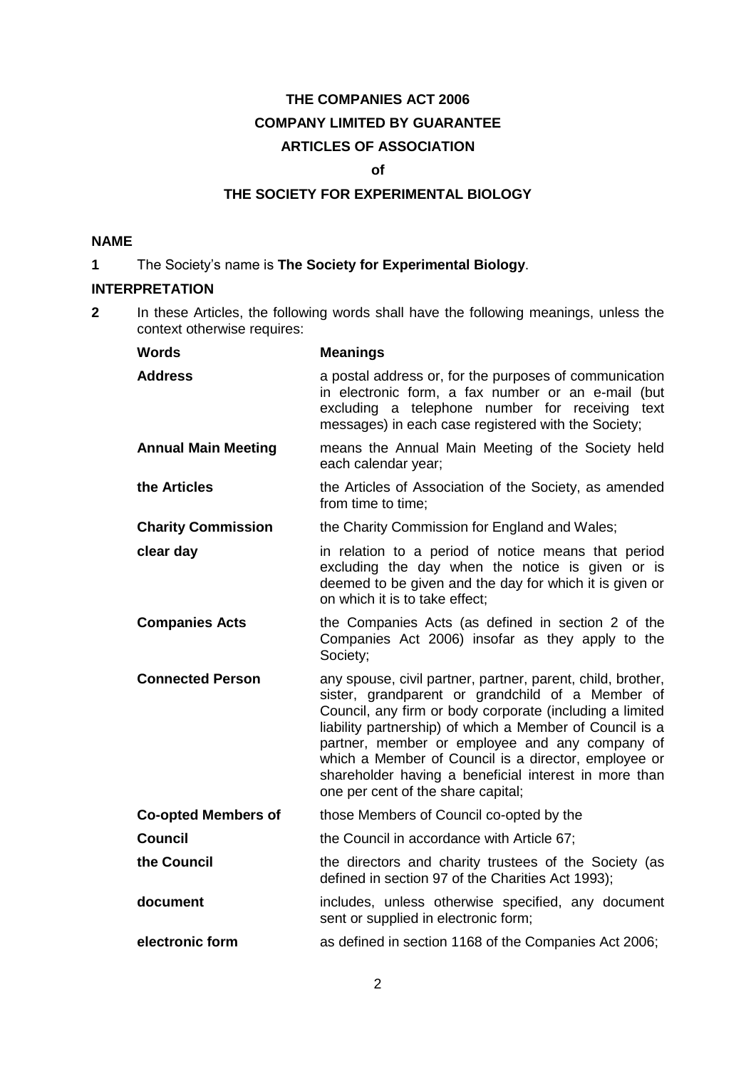# **THE COMPANIES ACT 2006 COMPANY LIMITED BY GUARANTEE ARTICLES OF ASSOCIATION**

#### **of**

## **THE SOCIETY FOR EXPERIMENTAL BIOLOGY**

#### **NAME**

**1** The Society's name is **The Society for Experimental Biology**.

## **INTERPRETATION**

**2** In these Articles, the following words shall have the following meanings, unless the context otherwise requires:

| <b>Words</b>               | <b>Meanings</b>                                                                                                                                                                                                                                                                                                                                                                                                                                  |
|----------------------------|--------------------------------------------------------------------------------------------------------------------------------------------------------------------------------------------------------------------------------------------------------------------------------------------------------------------------------------------------------------------------------------------------------------------------------------------------|
| <b>Address</b>             | a postal address or, for the purposes of communication<br>in electronic form, a fax number or an e-mail (but<br>excluding a telephone number for receiving text<br>messages) in each case registered with the Society;                                                                                                                                                                                                                           |
| <b>Annual Main Meeting</b> | means the Annual Main Meeting of the Society held<br>each calendar year;                                                                                                                                                                                                                                                                                                                                                                         |
| the Articles               | the Articles of Association of the Society, as amended<br>from time to time:                                                                                                                                                                                                                                                                                                                                                                     |
| <b>Charity Commission</b>  | the Charity Commission for England and Wales;                                                                                                                                                                                                                                                                                                                                                                                                    |
| clear day                  | in relation to a period of notice means that period<br>excluding the day when the notice is given or is<br>deemed to be given and the day for which it is given or<br>on which it is to take effect:                                                                                                                                                                                                                                             |
| <b>Companies Acts</b>      | the Companies Acts (as defined in section 2 of the<br>Companies Act 2006) insofar as they apply to the<br>Society;                                                                                                                                                                                                                                                                                                                               |
| <b>Connected Person</b>    | any spouse, civil partner, partner, parent, child, brother,<br>sister, grandparent or grandchild of a Member of<br>Council, any firm or body corporate (including a limited<br>liability partnership) of which a Member of Council is a<br>partner, member or employee and any company of<br>which a Member of Council is a director, employee or<br>shareholder having a beneficial interest in more than<br>one per cent of the share capital; |
| <b>Co-opted Members of</b> | those Members of Council co-opted by the                                                                                                                                                                                                                                                                                                                                                                                                         |
| <b>Council</b>             | the Council in accordance with Article 67;                                                                                                                                                                                                                                                                                                                                                                                                       |
| the Council                | the directors and charity trustees of the Society (as<br>defined in section 97 of the Charities Act 1993);                                                                                                                                                                                                                                                                                                                                       |
| document                   | includes, unless otherwise specified, any document<br>sent or supplied in electronic form;                                                                                                                                                                                                                                                                                                                                                       |
| electronic form            | as defined in section 1168 of the Companies Act 2006;                                                                                                                                                                                                                                                                                                                                                                                            |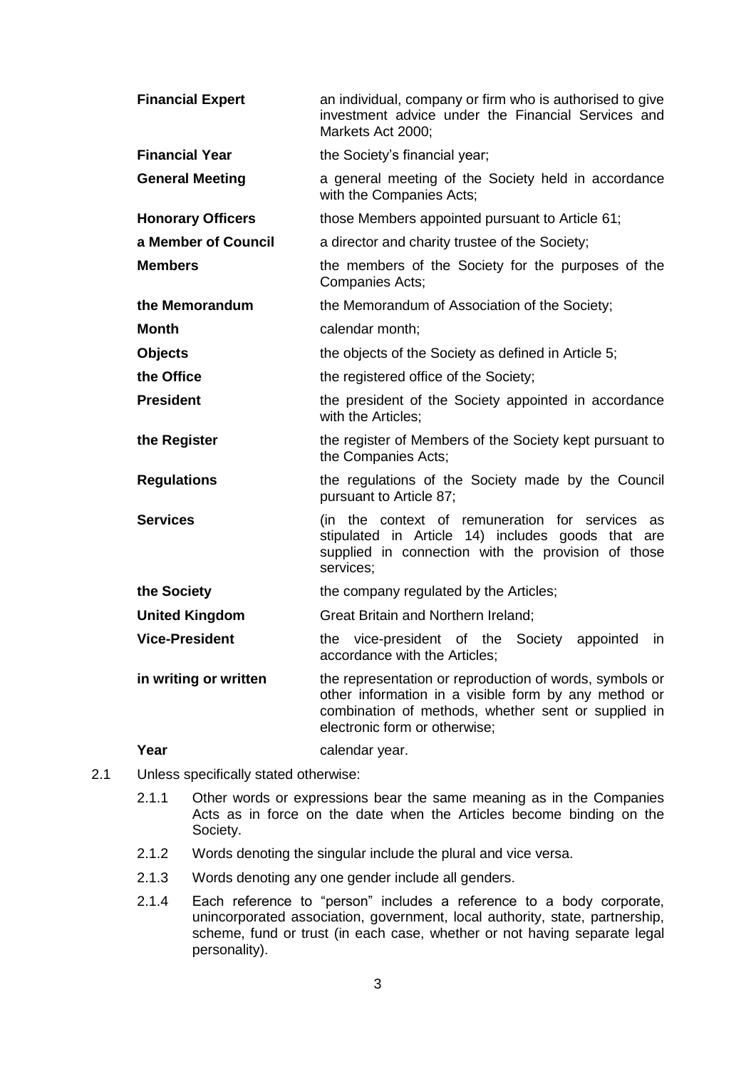| <b>Financial Expert</b>  | an individual, company or firm who is authorised to give<br>investment advice under the Financial Services and<br>Markets Act 2000:                                                                     |
|--------------------------|---------------------------------------------------------------------------------------------------------------------------------------------------------------------------------------------------------|
| <b>Financial Year</b>    | the Society's financial year;                                                                                                                                                                           |
| <b>General Meeting</b>   | a general meeting of the Society held in accordance<br>with the Companies Acts;                                                                                                                         |
| <b>Honorary Officers</b> | those Members appointed pursuant to Article 61;                                                                                                                                                         |
| a Member of Council      | a director and charity trustee of the Society;                                                                                                                                                          |
| <b>Members</b>           | the members of the Society for the purposes of the<br>Companies Acts;                                                                                                                                   |
| the Memorandum           | the Memorandum of Association of the Society;                                                                                                                                                           |
| Month                    | calendar month;                                                                                                                                                                                         |
| Objects                  | the objects of the Society as defined in Article 5;                                                                                                                                                     |
| the Office               | the registered office of the Society;                                                                                                                                                                   |
| <b>President</b>         | the president of the Society appointed in accordance<br>with the Articles;                                                                                                                              |
| the Register             | the register of Members of the Society kept pursuant to<br>the Companies Acts;                                                                                                                          |
| <b>Regulations</b>       | the regulations of the Society made by the Council<br>pursuant to Article 87;                                                                                                                           |
| <b>Services</b>          | (in the context of remuneration for services as<br>stipulated in Article 14) includes goods that are<br>supplied in connection with the provision of those<br>services;                                 |
| the Society              | the company regulated by the Articles;                                                                                                                                                                  |
| <b>United Kingdom</b>    | Great Britain and Northern Ireland;                                                                                                                                                                     |
| <b>Vice-President</b>    | vice-president of the<br>Society<br>the<br>appointed<br>in.<br>accordance with the Articles;                                                                                                            |
| in writing or written    | the representation or reproduction of words, symbols or<br>other information in a visible form by any method or<br>combination of methods, whether sent or supplied in<br>electronic form or otherwise; |
| Year                     | calendar year.                                                                                                                                                                                          |

- 2.1 Unless specifically stated otherwise:
	- 2.1.1 Other words or expressions bear the same meaning as in the Companies Acts as in force on the date when the Articles become binding on the Society.
	- 2.1.2 Words denoting the singular include the plural and vice versa.
	- 2.1.3 Words denoting any one gender include all genders.
	- 2.1.4 Each reference to "person" includes a reference to a body corporate, unincorporated association, government, local authority, state, partnership, scheme, fund or trust (in each case, whether or not having separate legal personality).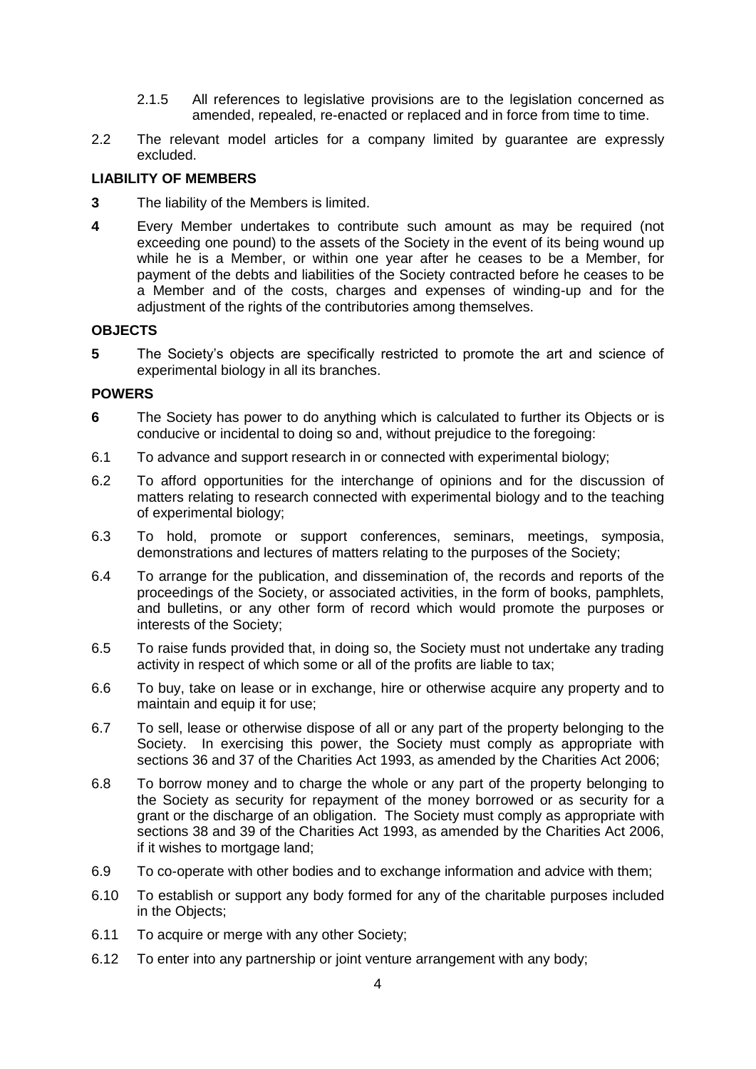- 2.1.5 All references to legislative provisions are to the legislation concerned as amended, repealed, re-enacted or replaced and in force from time to time.
- 2.2 The relevant model articles for a company limited by guarantee are expressly excluded.

## **LIABILITY OF MEMBERS**

- **3** The liability of the Members is limited.
- **4** Every Member undertakes to contribute such amount as may be required (not exceeding one pound) to the assets of the Society in the event of its being wound up while he is a Member, or within one year after he ceases to be a Member, for payment of the debts and liabilities of the Society contracted before he ceases to be a Member and of the costs, charges and expenses of winding-up and for the adjustment of the rights of the contributories among themselves.

### **OBJECTS**

<span id="page-3-0"></span>**5** The Society's objects are specifically restricted to promote the art and science of experimental biology in all its branches.

### **POWERS**

- **6** The Society has power to do anything which is calculated to further its Objects or is conducive or incidental to doing so and, without prejudice to the foregoing:
- 6.1 To advance and support research in or connected with experimental biology;
- 6.2 To afford opportunities for the interchange of opinions and for the discussion of matters relating to research connected with experimental biology and to the teaching of experimental biology;
- 6.3 To hold, promote or support conferences, seminars, meetings, symposia, demonstrations and lectures of matters relating to the purposes of the Society;
- 6.4 To arrange for the publication, and dissemination of, the records and reports of the proceedings of the Society, or associated activities, in the form of books, pamphlets, and bulletins, or any other form of record which would promote the purposes or interests of the Society;
- 6.5 To raise funds provided that, in doing so, the Society must not undertake any trading activity in respect of which some or all of the profits are liable to tax;
- 6.6 To buy, take on lease or in exchange, hire or otherwise acquire any property and to maintain and equip it for use;
- 6.7 To sell, lease or otherwise dispose of all or any part of the property belonging to the Society. In exercising this power, the Society must comply as appropriate with sections 36 and 37 of the Charities Act 1993, as amended by the Charities Act 2006;
- 6.8 To borrow money and to charge the whole or any part of the property belonging to the Society as security for repayment of the money borrowed or as security for a grant or the discharge of an obligation. The Society must comply as appropriate with sections 38 and 39 of the Charities Act 1993, as amended by the Charities Act 2006, if it wishes to mortgage land;
- 6.9 To co-operate with other bodies and to exchange information and advice with them;
- 6.10 To establish or support any body formed for any of the charitable purposes included in the Objects;
- 6.11 To acquire or merge with any other Society;
- 6.12 To enter into any partnership or joint venture arrangement with any body;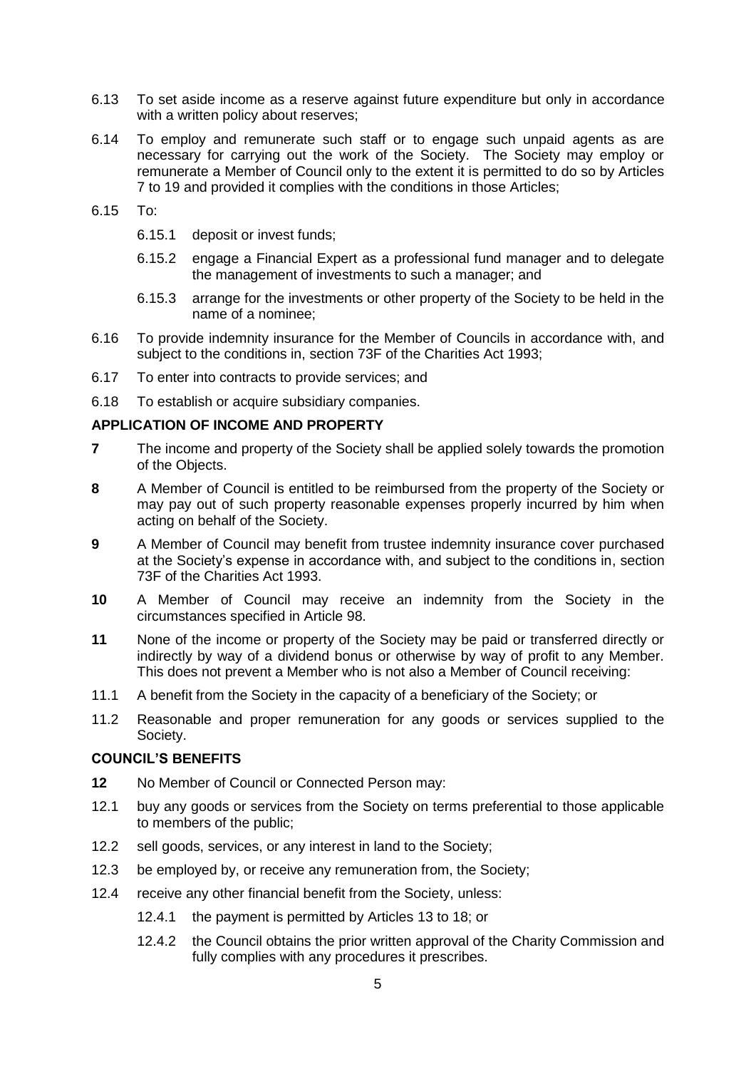- 6.13 To set aside income as a reserve against future expenditure but only in accordance with a written policy about reserves;
- 6.14 To employ and remunerate such staff or to engage such unpaid agents as are necessary for carrying out the work of the Society. The Society may employ or remunerate a Member of Council only to the extent it is permitted to do so by Articles [7](#page-4-0) to [19](#page-5-1) and provided it complies with the conditions in those Articles;
- 6.15 To:
	- 6.15.1 deposit or invest funds;
	- 6.15.2 engage a Financial Expert as a professional fund manager and to delegate the management of investments to such a manager; and
	- 6.15.3 arrange for the investments or other property of the Society to be held in the name of a nominee;
- 6.16 To provide indemnity insurance for the Member of Councils in accordance with, and subject to the conditions in, section 73F of the Charities Act 1993;
- 6.17 To enter into contracts to provide services; and
- 6.18 To establish or acquire subsidiary companies.

#### **APPLICATION OF INCOME AND PROPERTY**

- <span id="page-4-0"></span>**7** The income and property of the Society shall be applied solely towards the promotion of the Objects.
- **8** A Member of Council is entitled to be reimbursed from the property of the Society or may pay out of such property reasonable expenses properly incurred by him when acting on behalf of the Society.
- **9** A Member of Council may benefit from trustee indemnity insurance cover purchased at the Society's expense in accordance with, and subject to the conditions in, section 73F of the Charities Act 1993.
- **10** A Member of Council may receive an indemnity from the Society in the circumstances specified in Article [98.](#page-14-0)
- **11** None of the income or property of the Society may be paid or transferred directly or indirectly by way of a dividend bonus or otherwise by way of profit to any Member. This does not prevent a Member who is not also a Member of Council receiving:
- 11.1 A benefit from the Society in the capacity of a beneficiary of the Society; or
- 11.2 Reasonable and proper remuneration for any goods or services supplied to the Society.

#### **COUNCIL'S BENEFITS**

- <span id="page-4-1"></span>**12** No Member of Council or Connected Person may:
- 12.1 buy any goods or services from the Society on terms preferential to those applicable to members of the public;
- 12.2 sell goods, services, or any interest in land to the Society;
- 12.3 be employed by, or receive any remuneration from, the Society;
- 12.4 receive any other financial benefit from the Society, unless:
	- 12.4.1 the payment is permitted by Articles [13](#page-5-2) to [18;](#page-5-3) or
	- 12.4.2 the Council obtains the prior written approval of the Charity Commission and fully complies with any procedures it prescribes.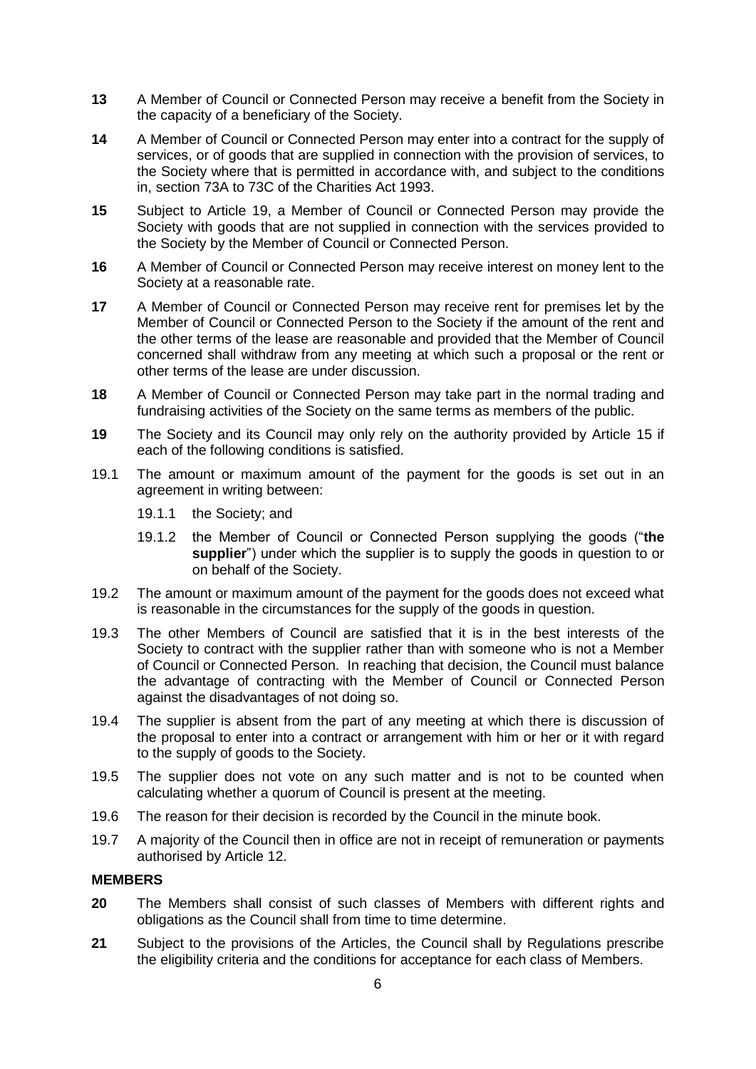- <span id="page-5-2"></span>**13** A Member of Council or Connected Person may receive a benefit from the Society in the capacity of a beneficiary of the Society.
- <span id="page-5-0"></span>**14** A Member of Council or Connected Person may enter into a contract for the supply of services, or of goods that are supplied in connection with the provision of services, to the Society where that is permitted in accordance with, and subject to the conditions in, section 73A to 73C of the Charities Act 1993.
- <span id="page-5-4"></span>**15** Subject to Article [19,](#page-5-1) a Member of Council or Connected Person may provide the Society with goods that are not supplied in connection with the services provided to the Society by the Member of Council or Connected Person.
- **16** A Member of Council or Connected Person may receive interest on money lent to the Society at a reasonable rate.
- **17** A Member of Council or Connected Person may receive rent for premises let by the Member of Council or Connected Person to the Society if the amount of the rent and the other terms of the lease are reasonable and provided that the Member of Council concerned shall withdraw from any meeting at which such a proposal or the rent or other terms of the lease are under discussion.
- <span id="page-5-3"></span>**18** A Member of Council or Connected Person may take part in the normal trading and fundraising activities of the Society on the same terms as members of the public.
- <span id="page-5-1"></span>**19** The Society and its Council may only rely on the authority provided by Article [15](#page-5-4) if each of the following conditions is satisfied.
- 19.1 The amount or maximum amount of the payment for the goods is set out in an agreement in writing between:
	- 19.1.1 the Society; and
	- 19.1.2 the Member of Council or Connected Person supplying the goods ("**the supplier**") under which the supplier is to supply the goods in question to or on behalf of the Society.
- 19.2 The amount or maximum amount of the payment for the goods does not exceed what is reasonable in the circumstances for the supply of the goods in question.
- 19.3 The other Members of Council are satisfied that it is in the best interests of the Society to contract with the supplier rather than with someone who is not a Member of Council or Connected Person. In reaching that decision, the Council must balance the advantage of contracting with the Member of Council or Connected Person against the disadvantages of not doing so.
- 19.4 The supplier is absent from the part of any meeting at which there is discussion of the proposal to enter into a contract or arrangement with him or her or it with regard to the supply of goods to the Society.
- 19.5 The supplier does not vote on any such matter and is not to be counted when calculating whether a quorum of Council is present at the meeting.
- 19.6 The reason for their decision is recorded by the Council in the minute book.
- 19.7 A majority of the Council then in office are not in receipt of remuneration or payments authorised by Article [12.](#page-4-1)

#### **MEMBERS**

- **20** The Members shall consist of such classes of Members with different rights and obligations as the Council shall from time to time determine.
- **21** Subject to the provisions of the Articles, the Council shall by Regulations prescribe the eligibility criteria and the conditions for acceptance for each class of Members.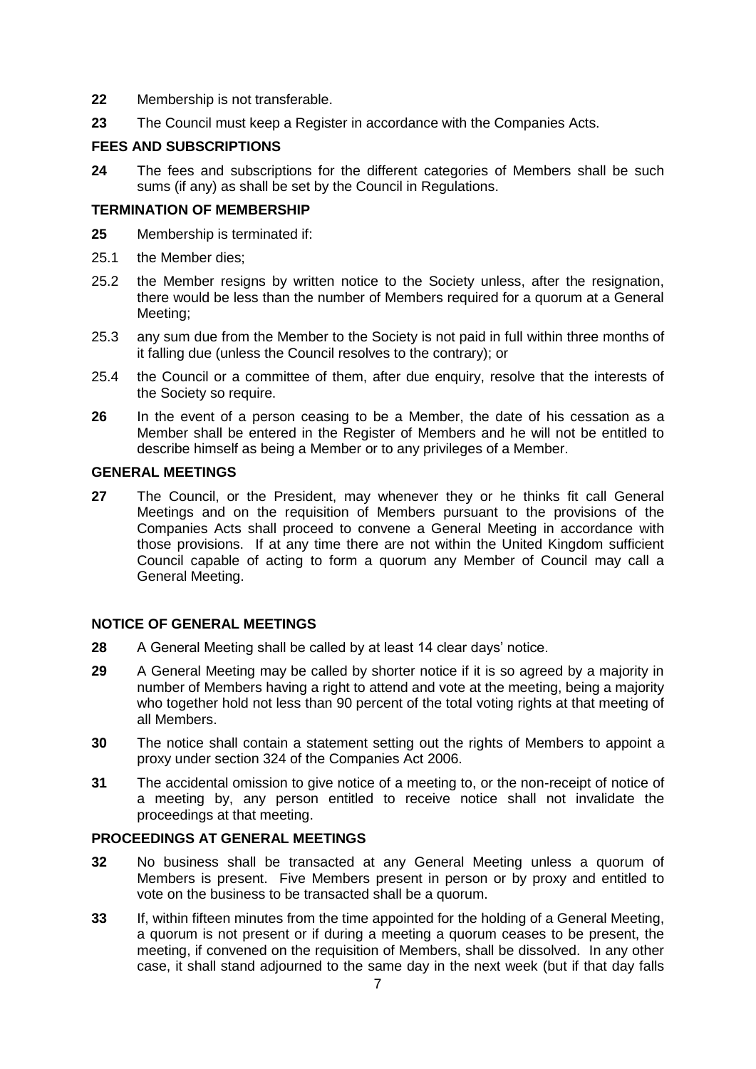- **22** Membership is not transferable.
- **23** The Council must keep a Register in accordance with the Companies Acts.

## **FEES AND SUBSCRIPTIONS**

**24** The fees and subscriptions for the different categories of Members shall be such sums (if any) as shall be set by the Council in Regulations.

#### **TERMINATION OF MEMBERSHIP**

- **25** Membership is terminated if:
- 25.1 the Member dies;
- 25.2 the Member resigns by written notice to the Society unless, after the resignation, there would be less than the number of Members required for a quorum at a General Meeting;
- 25.3 any sum due from the Member to the Society is not paid in full within three months of it falling due (unless the Council resolves to the contrary); or
- 25.4 the Council or a committee of them, after due enquiry, resolve that the interests of the Society so require.
- **26** In the event of a person ceasing to be a Member, the date of his cessation as a Member shall be entered in the Register of Members and he will not be entitled to describe himself as being a Member or to any privileges of a Member.

## **GENERAL MEETINGS**

**27** The Council, or the President, may whenever they or he thinks fit call General Meetings and on the requisition of Members pursuant to the provisions of the Companies Acts shall proceed to convene a General Meeting in accordance with those provisions. If at any time there are not within the United Kingdom sufficient Council capable of acting to form a quorum any Member of Council may call a General Meeting.

## **NOTICE OF GENERAL MEETINGS**

- **28** A General Meeting shall be called by at least 14 clear days' notice.
- **29** A General Meeting may be called by shorter notice if it is so agreed by a majority in number of Members having a right to attend and vote at the meeting, being a majority who together hold not less than 90 percent of the total voting rights at that meeting of all Members.
- **30** The notice shall contain a statement setting out the rights of Members to appoint a proxy under section 324 of the Companies Act 2006.
- **31** The accidental omission to give notice of a meeting to, or the non-receipt of notice of a meeting by, any person entitled to receive notice shall not invalidate the proceedings at that meeting.

## **PROCEEDINGS AT GENERAL MEETINGS**

- **32** No business shall be transacted at any General Meeting unless a quorum of Members is present. Five Members present in person or by proxy and entitled to vote on the business to be transacted shall be a quorum.
- **33** If, within fifteen minutes from the time appointed for the holding of a General Meeting, a quorum is not present or if during a meeting a quorum ceases to be present, the meeting, if convened on the requisition of Members, shall be dissolved. In any other case, it shall stand adjourned to the same day in the next week (but if that day falls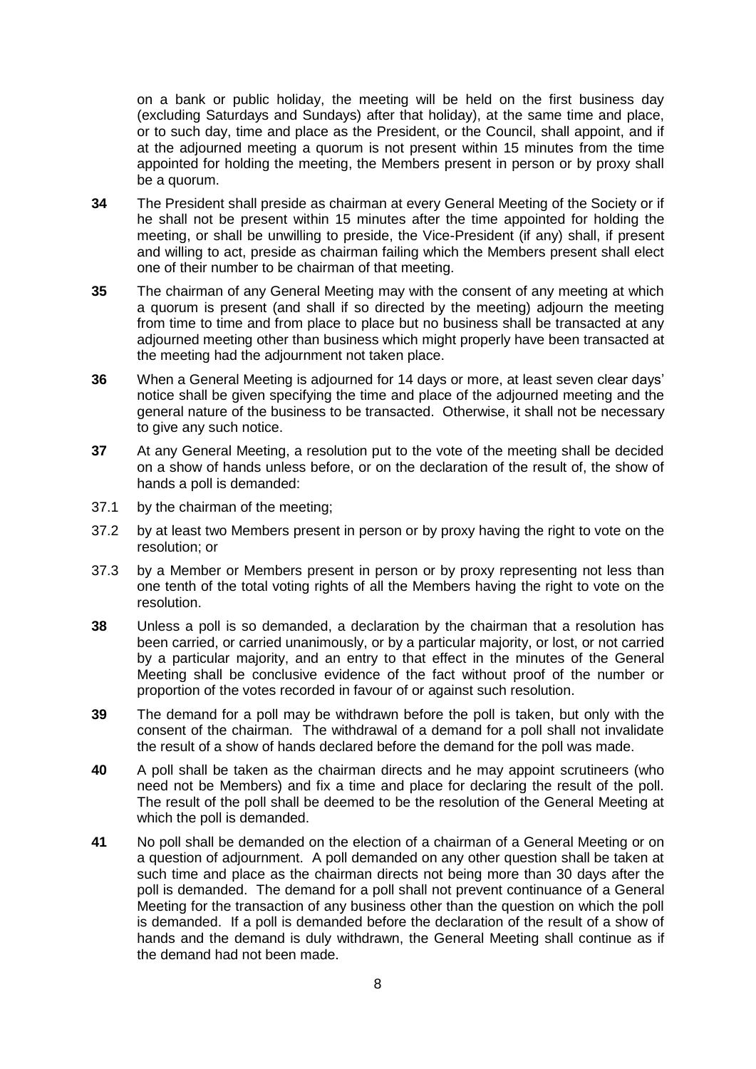on a bank or public holiday, the meeting will be held on the first business day (excluding Saturdays and Sundays) after that holiday), at the same time and place, or to such day, time and place as the President, or the Council, shall appoint, and if at the adjourned meeting a quorum is not present within 15 minutes from the time appointed for holding the meeting, the Members present in person or by proxy shall be a quorum.

- **34** The President shall preside as chairman at every General Meeting of the Society or if he shall not be present within 15 minutes after the time appointed for holding the meeting, or shall be unwilling to preside, the Vice-President (if any) shall, if present and willing to act, preside as chairman failing which the Members present shall elect one of their number to be chairman of that meeting.
- **35** The chairman of any General Meeting may with the consent of any meeting at which a quorum is present (and shall if so directed by the meeting) adjourn the meeting from time to time and from place to place but no business shall be transacted at any adjourned meeting other than business which might properly have been transacted at the meeting had the adjournment not taken place.
- **36** When a General Meeting is adjourned for 14 days or more, at least seven clear days' notice shall be given specifying the time and place of the adjourned meeting and the general nature of the business to be transacted. Otherwise, it shall not be necessary to give any such notice.
- **37** At any General Meeting, a resolution put to the vote of the meeting shall be decided on a show of hands unless before, or on the declaration of the result of, the show of hands a poll is demanded:
- 37.1 by the chairman of the meeting;
- 37.2 by at least two Members present in person or by proxy having the right to vote on the resolution; or
- 37.3 by a Member or Members present in person or by proxy representing not less than one tenth of the total voting rights of all the Members having the right to vote on the resolution.
- **38** Unless a poll is so demanded, a declaration by the chairman that a resolution has been carried, or carried unanimously, or by a particular majority, or lost, or not carried by a particular majority, and an entry to that effect in the minutes of the General Meeting shall be conclusive evidence of the fact without proof of the number or proportion of the votes recorded in favour of or against such resolution.
- **39** The demand for a poll may be withdrawn before the poll is taken, but only with the consent of the chairman. The withdrawal of a demand for a poll shall not invalidate the result of a show of hands declared before the demand for the poll was made.
- **40** A poll shall be taken as the chairman directs and he may appoint scrutineers (who need not be Members) and fix a time and place for declaring the result of the poll. The result of the poll shall be deemed to be the resolution of the General Meeting at which the poll is demanded.
- **41** No poll shall be demanded on the election of a chairman of a General Meeting or on a question of adjournment. A poll demanded on any other question shall be taken at such time and place as the chairman directs not being more than 30 days after the poll is demanded. The demand for a poll shall not prevent continuance of a General Meeting for the transaction of any business other than the question on which the poll is demanded. If a poll is demanded before the declaration of the result of a show of hands and the demand is duly withdrawn, the General Meeting shall continue as if the demand had not been made.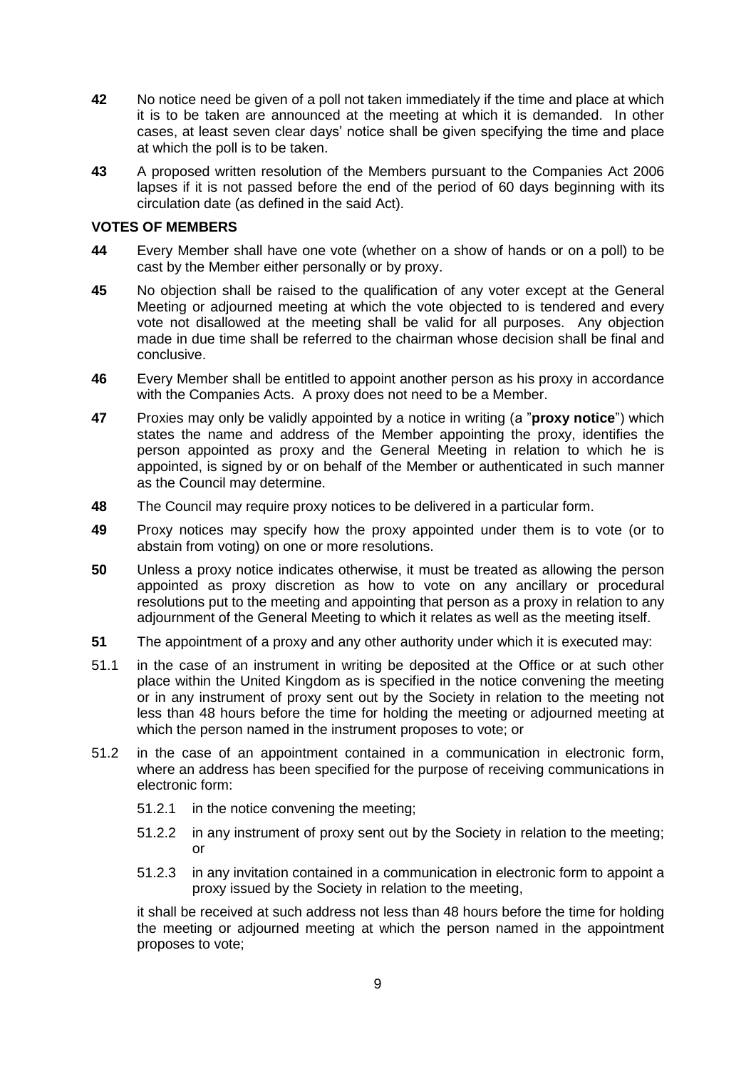- **42** No notice need be given of a poll not taken immediately if the time and place at which it is to be taken are announced at the meeting at which it is demanded. In other cases, at least seven clear days' notice shall be given specifying the time and place at which the poll is to be taken.
- **43** A proposed written resolution of the Members pursuant to the Companies Act 2006 lapses if it is not passed before the end of the period of 60 days beginning with its circulation date (as defined in the said Act).

## **VOTES OF MEMBERS**

- **44** Every Member shall have one vote (whether on a show of hands or on a poll) to be cast by the Member either personally or by proxy.
- **45** No objection shall be raised to the qualification of any voter except at the General Meeting or adjourned meeting at which the vote objected to is tendered and every vote not disallowed at the meeting shall be valid for all purposes. Any objection made in due time shall be referred to the chairman whose decision shall be final and conclusive.
- **46** Every Member shall be entitled to appoint another person as his proxy in accordance with the Companies Acts. A proxy does not need to be a Member.
- **47** Proxies may only be validly appointed by a notice in writing (a "**proxy notice**") which states the name and address of the Member appointing the proxy, identifies the person appointed as proxy and the General Meeting in relation to which he is appointed, is signed by or on behalf of the Member or authenticated in such manner as the Council may determine.
- **48** The Council may require proxy notices to be delivered in a particular form.
- **49** Proxy notices may specify how the proxy appointed under them is to vote (or to abstain from voting) on one or more resolutions.
- **50** Unless a proxy notice indicates otherwise, it must be treated as allowing the person appointed as proxy discretion as how to vote on any ancillary or procedural resolutions put to the meeting and appointing that person as a proxy in relation to any adjournment of the General Meeting to which it relates as well as the meeting itself.
- **51** The appointment of a proxy and any other authority under which it is executed may:
- 51.1 in the case of an instrument in writing be deposited at the Office or at such other place within the United Kingdom as is specified in the notice convening the meeting or in any instrument of proxy sent out by the Society in relation to the meeting not less than 48 hours before the time for holding the meeting or adjourned meeting at which the person named in the instrument proposes to vote; or
- 51.2 in the case of an appointment contained in a communication in electronic form, where an address has been specified for the purpose of receiving communications in electronic form:
	- 51.2.1 in the notice convening the meeting;
	- 51.2.2 in any instrument of proxy sent out by the Society in relation to the meeting; or
	- 51.2.3 in any invitation contained in a communication in electronic form to appoint a proxy issued by the Society in relation to the meeting,

it shall be received at such address not less than 48 hours before the time for holding the meeting or adjourned meeting at which the person named in the appointment proposes to vote;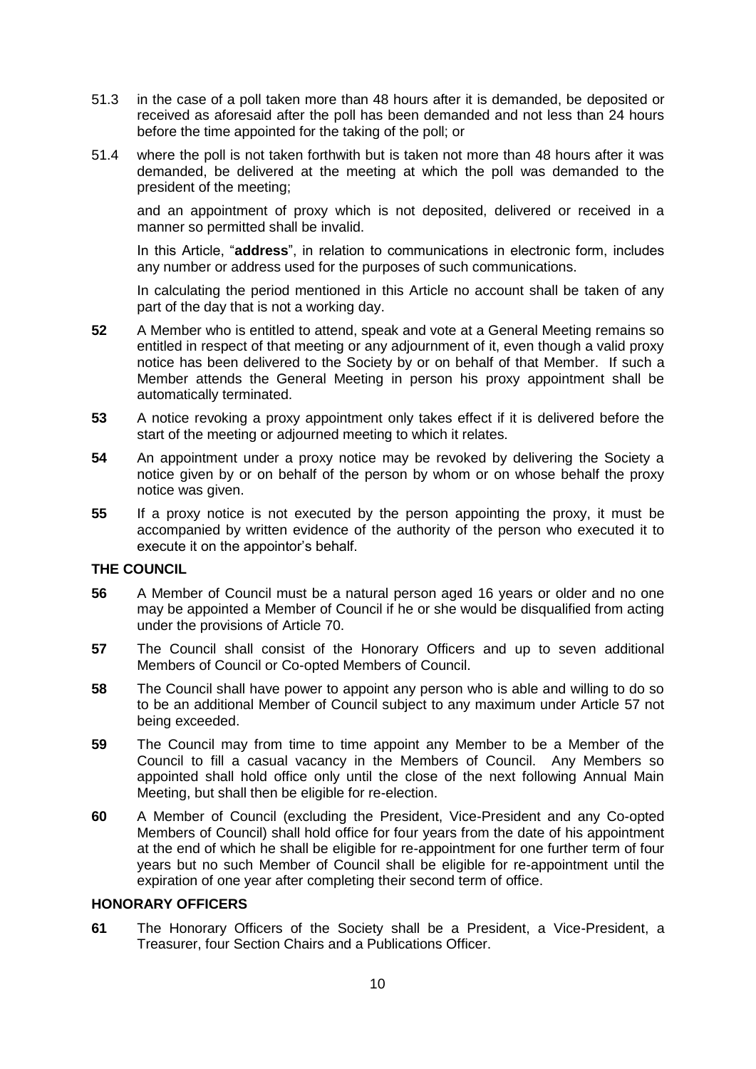- 51.3 in the case of a poll taken more than 48 hours after it is demanded, be deposited or received as aforesaid after the poll has been demanded and not less than 24 hours before the time appointed for the taking of the poll; or
- 51.4 where the poll is not taken forthwith but is taken not more than 48 hours after it was demanded, be delivered at the meeting at which the poll was demanded to the president of the meeting;

and an appointment of proxy which is not deposited, delivered or received in a manner so permitted shall be invalid.

In this Article, "**address**", in relation to communications in electronic form, includes any number or address used for the purposes of such communications.

In calculating the period mentioned in this Article no account shall be taken of any part of the day that is not a working day.

- **52** A Member who is entitled to attend, speak and vote at a General Meeting remains so entitled in respect of that meeting or any adjournment of it, even though a valid proxy notice has been delivered to the Society by or on behalf of that Member. If such a Member attends the General Meeting in person his proxy appointment shall be automatically terminated.
- **53** A notice revoking a proxy appointment only takes effect if it is delivered before the start of the meeting or adjourned meeting to which it relates.
- **54** An appointment under a proxy notice may be revoked by delivering the Society a notice given by or on behalf of the person by whom or on whose behalf the proxy notice was given.
- **55** If a proxy notice is not executed by the person appointing the proxy, it must be accompanied by written evidence of the authority of the person who executed it to execute it on the appointor's behalf.

#### **THE COUNCIL**

- **56** A Member of Council must be a natural person aged 16 years or older and no one may be appointed a Member of Council if he or she would be disqualified from acting under the provisions of Article [70.](#page-10-0)
- <span id="page-9-1"></span>**57** The Council shall consist of the Honorary Officers and up to seven additional Members of Council or Co-opted Members of Council.
- **58** The Council shall have power to appoint any person who is able and willing to do so to be an additional Member of Council subject to any maximum under Article [57](#page-9-1) not being exceeded.
- **59** The Council may from time to time appoint any Member to be a Member of the Council to fill a casual vacancy in the Members of Council. Any Members so appointed shall hold office only until the close of the next following Annual Main Meeting, but shall then be eligible for re-election.
- **60** A Member of Council (excluding the President, Vice-President and any Co-opted Members of Council) shall hold office for four years from the date of his appointment at the end of which he shall be eligible for re-appointment for one further term of four years but no such Member of Council shall be eligible for re-appointment until the expiration of one year after completing their second term of office.

#### **HONORARY OFFICERS**

<span id="page-9-0"></span>**61** The Honorary Officers of the Society shall be a President, a Vice-President, a Treasurer, four Section Chairs and a Publications Officer.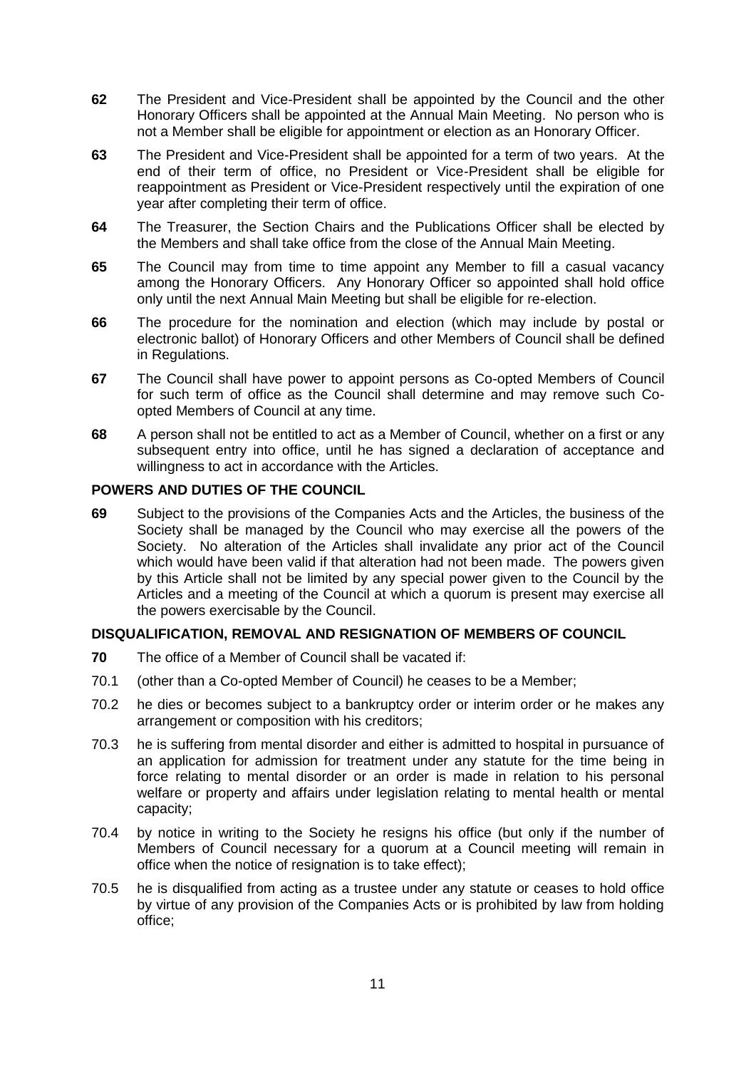- **62** The President and Vice-President shall be appointed by the Council and the other Honorary Officers shall be appointed at the Annual Main Meeting. No person who is not a Member shall be eligible for appointment or election as an Honorary Officer.
- **63** The President and Vice-President shall be appointed for a term of two years. At the end of their term of office, no President or Vice-President shall be eligible for reappointment as President or Vice-President respectively until the expiration of one year after completing their term of office.
- **64** The Treasurer, the Section Chairs and the Publications Officer shall be elected by the Members and shall take office from the close of the Annual Main Meeting.
- **65** The Council may from time to time appoint any Member to fill a casual vacancy among the Honorary Officers. Any Honorary Officer so appointed shall hold office only until the next Annual Main Meeting but shall be eligible for re-election.
- **66** The procedure for the nomination and election (which may include by postal or electronic ballot) of Honorary Officers and other Members of Council shall be defined in Regulations.
- **67** The Council shall have power to appoint persons as Co-opted Members of Council for such term of office as the Council shall determine and may remove such Coopted Members of Council at any time.
- **68** A person shall not be entitled to act as a Member of Council, whether on a first or any subsequent entry into office, until he has signed a declaration of acceptance and willingness to act in accordance with the Articles.

### **POWERS AND DUTIES OF THE COUNCIL**

**69** Subject to the provisions of the Companies Acts and the Articles, the business of the Society shall be managed by the Council who may exercise all the powers of the Society. No alteration of the Articles shall invalidate any prior act of the Council which would have been valid if that alteration had not been made. The powers given by this Article shall not be limited by any special power given to the Council by the Articles and a meeting of the Council at which a quorum is present may exercise all the powers exercisable by the Council.

#### **DISQUALIFICATION, REMOVAL AND RESIGNATION OF MEMBERS OF COUNCIL**

- <span id="page-10-0"></span>**70** The office of a Member of Council shall be vacated if:
- 70.1 (other than a Co-opted Member of Council) he ceases to be a Member;
- 70.2 he dies or becomes subject to a bankruptcy order or interim order or he makes any arrangement or composition with his creditors;
- 70.3 he is suffering from mental disorder and either is admitted to hospital in pursuance of an application for admission for treatment under any statute for the time being in force relating to mental disorder or an order is made in relation to his personal welfare or property and affairs under legislation relating to mental health or mental capacity;
- 70.4 by notice in writing to the Society he resigns his office (but only if the number of Members of Council necessary for a quorum at a Council meeting will remain in office when the notice of resignation is to take effect);
- 70.5 he is disqualified from acting as a trustee under any statute or ceases to hold office by virtue of any provision of the Companies Acts or is prohibited by law from holding office;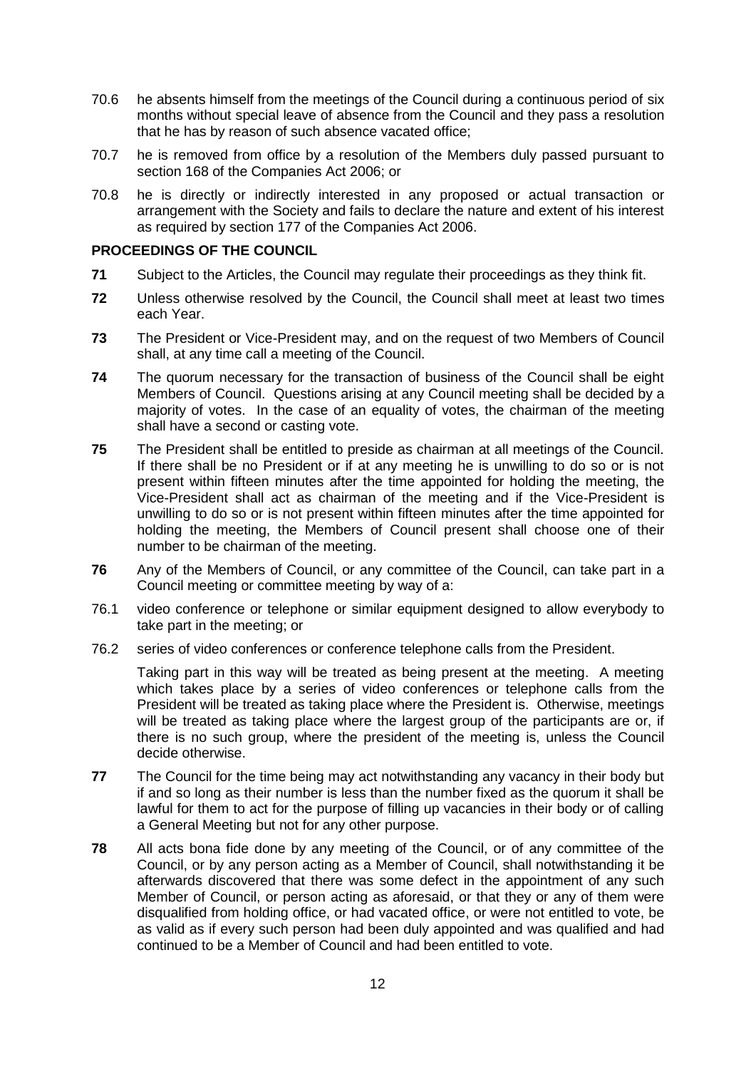- 70.6 he absents himself from the meetings of the Council during a continuous period of six months without special leave of absence from the Council and they pass a resolution that he has by reason of such absence vacated office;
- 70.7 he is removed from office by a resolution of the Members duly passed pursuant to section 168 of the Companies Act 2006; or
- 70.8 he is directly or indirectly interested in any proposed or actual transaction or arrangement with the Society and fails to declare the nature and extent of his interest as required by section 177 of the Companies Act 2006.

## **PROCEEDINGS OF THE COUNCIL**

- **71** Subject to the Articles, the Council may regulate their proceedings as they think fit.
- **72** Unless otherwise resolved by the Council, the Council shall meet at least two times each Year.
- **73** The President or Vice-President may, and on the request of two Members of Council shall, at any time call a meeting of the Council.
- **74** The quorum necessary for the transaction of business of the Council shall be eight Members of Council. Questions arising at any Council meeting shall be decided by a majority of votes. In the case of an equality of votes, the chairman of the meeting shall have a second or casting vote.
- **75** The President shall be entitled to preside as chairman at all meetings of the Council. If there shall be no President or if at any meeting he is unwilling to do so or is not present within fifteen minutes after the time appointed for holding the meeting, the Vice-President shall act as chairman of the meeting and if the Vice-President is unwilling to do so or is not present within fifteen minutes after the time appointed for holding the meeting, the Members of Council present shall choose one of their number to be chairman of the meeting.
- **76** Any of the Members of Council, or any committee of the Council, can take part in a Council meeting or committee meeting by way of a:
- 76.1 video conference or telephone or similar equipment designed to allow everybody to take part in the meeting; or
- 76.2 series of video conferences or conference telephone calls from the President.

Taking part in this way will be treated as being present at the meeting. A meeting which takes place by a series of video conferences or telephone calls from the President will be treated as taking place where the President is. Otherwise, meetings will be treated as taking place where the largest group of the participants are or, if there is no such group, where the president of the meeting is, unless the Council decide otherwise.

- **77** The Council for the time being may act notwithstanding any vacancy in their body but if and so long as their number is less than the number fixed as the quorum it shall be lawful for them to act for the purpose of filling up vacancies in their body or of calling a General Meeting but not for any other purpose.
- **78** All acts bona fide done by any meeting of the Council, or of any committee of the Council, or by any person acting as a Member of Council, shall notwithstanding it be afterwards discovered that there was some defect in the appointment of any such Member of Council, or person acting as aforesaid, or that they or any of them were disqualified from holding office, or had vacated office, or were not entitled to vote, be as valid as if every such person had been duly appointed and was qualified and had continued to be a Member of Council and had been entitled to vote.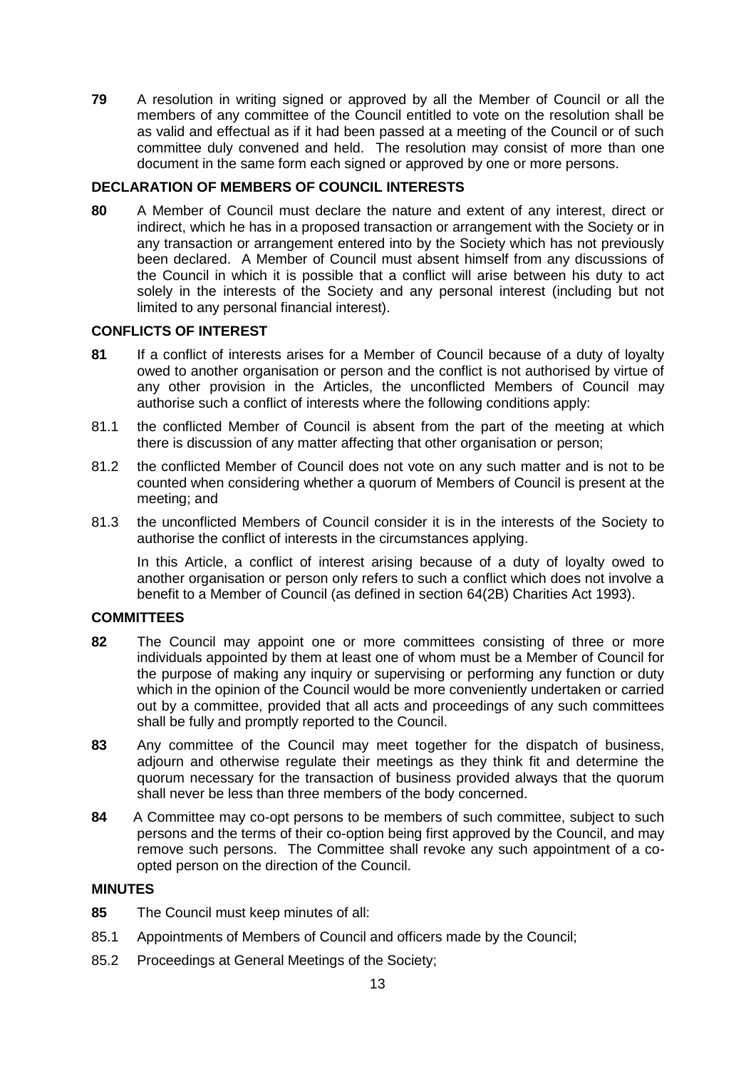**79** A resolution in writing signed or approved by all the Member of Council or all the members of any committee of the Council entitled to vote on the resolution shall be as valid and effectual as if it had been passed at a meeting of the Council or of such committee duly convened and held. The resolution may consist of more than one document in the same form each signed or approved by one or more persons.

## **DECLARATION OF MEMBERS OF COUNCIL INTERESTS**

**80** A Member of Council must declare the nature and extent of any interest, direct or indirect, which he has in a proposed transaction or arrangement with the Society or in any transaction or arrangement entered into by the Society which has not previously been declared. A Member of Council must absent himself from any discussions of the Council in which it is possible that a conflict will arise between his duty to act solely in the interests of the Society and any personal interest (including but not limited to any personal financial interest).

### **CONFLICTS OF INTEREST**

- **81** If a conflict of interests arises for a Member of Council because of a duty of loyalty owed to another organisation or person and the conflict is not authorised by virtue of any other provision in the Articles, the unconflicted Members of Council may authorise such a conflict of interests where the following conditions apply:
- 81.1 the conflicted Member of Council is absent from the part of the meeting at which there is discussion of any matter affecting that other organisation or person;
- 81.2 the conflicted Member of Council does not vote on any such matter and is not to be counted when considering whether a quorum of Members of Council is present at the meeting; and
- 81.3 the unconflicted Members of Council consider it is in the interests of the Society to authorise the conflict of interests in the circumstances applying.

In this Article, a conflict of interest arising because of a duty of loyalty owed to another organisation or person only refers to such a conflict which does not involve a benefit to a Member of Council (as defined in section 64(2B) Charities Act 1993).

#### **COMMITTEES**

- **82** The Council may appoint one or more committees consisting of three or more individuals appointed by them at least one of whom must be a Member of Council for the purpose of making any inquiry or supervising or performing any function or duty which in the opinion of the Council would be more conveniently undertaken or carried out by a committee, provided that all acts and proceedings of any such committees shall be fully and promptly reported to the Council.
- **83** Any committee of the Council may meet together for the dispatch of business, adjourn and otherwise regulate their meetings as they think fit and determine the quorum necessary for the transaction of business provided always that the quorum shall never be less than three members of the body concerned.
- **84** A Committee may co-opt persons to be members of such committee, subject to such persons and the terms of their co-option being first approved by the Council, and may remove such persons. The Committee shall revoke any such appointment of a coopted person on the direction of the Council.

#### **MINUTES**

- **85** The Council must keep minutes of all:
- 85.1 Appointments of Members of Council and officers made by the Council;
- 85.2 Proceedings at General Meetings of the Society;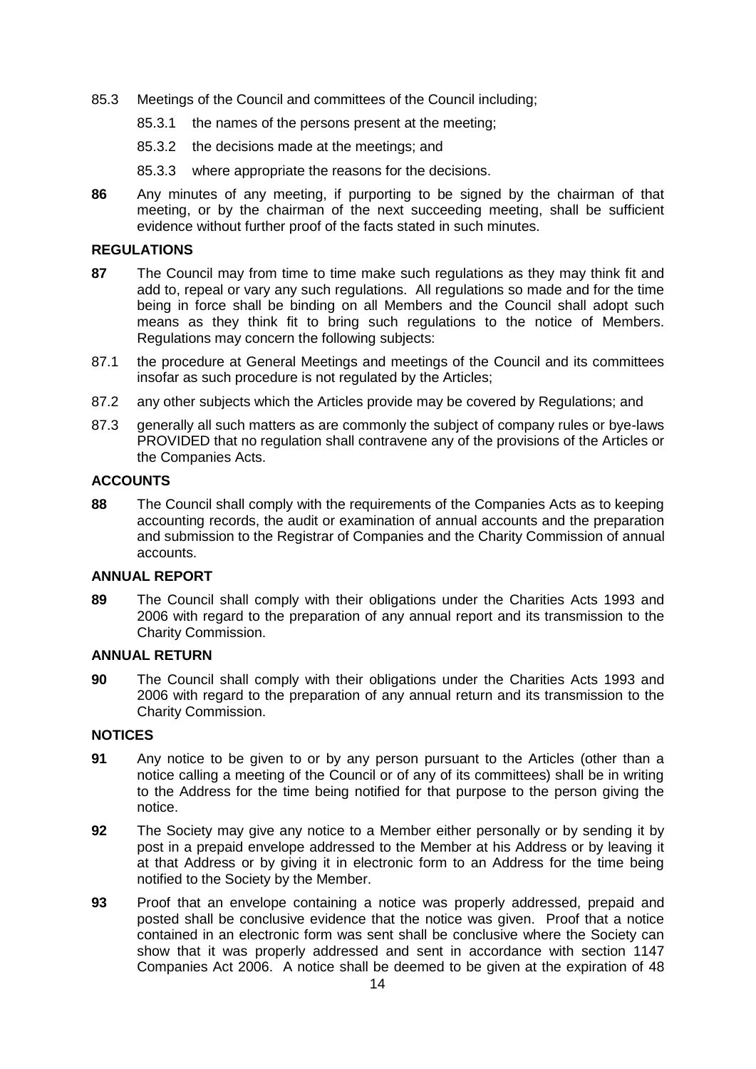- 85.3 Meetings of the Council and committees of the Council including;
	- 85.3.1 the names of the persons present at the meeting;
	- 85.3.2 the decisions made at the meetings; and
	- 85.3.3 where appropriate the reasons for the decisions.
- **86** Any minutes of any meeting, if purporting to be signed by the chairman of that meeting, or by the chairman of the next succeeding meeting, shall be sufficient evidence without further proof of the facts stated in such minutes.

#### **REGULATIONS**

- <span id="page-13-0"></span>**87** The Council may from time to time make such regulations as they may think fit and add to, repeal or vary any such regulations. All regulations so made and for the time being in force shall be binding on all Members and the Council shall adopt such means as they think fit to bring such regulations to the notice of Members. Regulations may concern the following subjects:
- 87.1 the procedure at General Meetings and meetings of the Council and its committees insofar as such procedure is not regulated by the Articles;
- 87.2 any other subjects which the Articles provide may be covered by Regulations; and
- 87.3 generally all such matters as are commonly the subject of company rules or bye-laws PROVIDED that no regulation shall contravene any of the provisions of the Articles or the Companies Acts.

## **ACCOUNTS**

**88** The Council shall comply with the requirements of the Companies Acts as to keeping accounting records, the audit or examination of annual accounts and the preparation and submission to the Registrar of Companies and the Charity Commission of annual accounts.

### **ANNUAL REPORT**

**89** The Council shall comply with their obligations under the Charities Acts 1993 and 2006 with regard to the preparation of any annual report and its transmission to the Charity Commission.

#### **ANNUAL RETURN**

**90** The Council shall comply with their obligations under the Charities Acts 1993 and 2006 with regard to the preparation of any annual return and its transmission to the Charity Commission.

## **NOTICES**

- **91** Any notice to be given to or by any person pursuant to the Articles (other than a notice calling a meeting of the Council or of any of its committees) shall be in writing to the Address for the time being notified for that purpose to the person giving the notice.
- **92** The Society may give any notice to a Member either personally or by sending it by post in a prepaid envelope addressed to the Member at his Address or by leaving it at that Address or by giving it in electronic form to an Address for the time being notified to the Society by the Member.
- **93** Proof that an envelope containing a notice was properly addressed, prepaid and posted shall be conclusive evidence that the notice was given. Proof that a notice contained in an electronic form was sent shall be conclusive where the Society can show that it was properly addressed and sent in accordance with section 1147 Companies Act 2006. A notice shall be deemed to be given at the expiration of 48